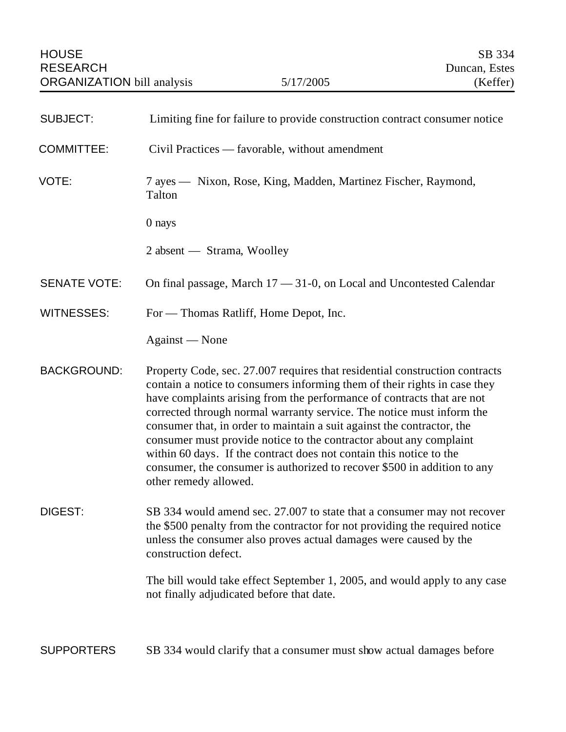| <b>SUBJECT:</b>     | Limiting fine for failure to provide construction contract consumer notice                                                                                                                                                                                                                                                                                                                                                                                                                                                                                                                                                              |
|---------------------|-----------------------------------------------------------------------------------------------------------------------------------------------------------------------------------------------------------------------------------------------------------------------------------------------------------------------------------------------------------------------------------------------------------------------------------------------------------------------------------------------------------------------------------------------------------------------------------------------------------------------------------------|
| <b>COMMITTEE:</b>   | Civil Practices — favorable, without amendment                                                                                                                                                                                                                                                                                                                                                                                                                                                                                                                                                                                          |
| VOTE:               | 7 ayes — Nixon, Rose, King, Madden, Martinez Fischer, Raymond,<br>Talton                                                                                                                                                                                                                                                                                                                                                                                                                                                                                                                                                                |
|                     | 0 nays                                                                                                                                                                                                                                                                                                                                                                                                                                                                                                                                                                                                                                  |
|                     | 2 absent — Strama, Woolley                                                                                                                                                                                                                                                                                                                                                                                                                                                                                                                                                                                                              |
| <b>SENATE VOTE:</b> | On final passage, March $17 - 31 - 0$ , on Local and Uncontested Calendar                                                                                                                                                                                                                                                                                                                                                                                                                                                                                                                                                               |
| <b>WITNESSES:</b>   | For — Thomas Ratliff, Home Depot, Inc.                                                                                                                                                                                                                                                                                                                                                                                                                                                                                                                                                                                                  |
|                     | Against — None                                                                                                                                                                                                                                                                                                                                                                                                                                                                                                                                                                                                                          |
| <b>BACKGROUND:</b>  | Property Code, sec. 27.007 requires that residential construction contracts<br>contain a notice to consumers informing them of their rights in case they<br>have complaints arising from the performance of contracts that are not<br>corrected through normal warranty service. The notice must inform the<br>consumer that, in order to maintain a suit against the contractor, the<br>consumer must provide notice to the contractor about any complaint<br>within 60 days. If the contract does not contain this notice to the<br>consumer, the consumer is authorized to recover \$500 in addition to any<br>other remedy allowed. |
| DIGEST:             | SB 334 would amend sec. 27.007 to state that a consumer may not recover<br>the \$500 penalty from the contractor for not providing the required notice<br>unless the consumer also proves actual damages were caused by the<br>construction defect.                                                                                                                                                                                                                                                                                                                                                                                     |
|                     | The bill would take effect September 1, 2005, and would apply to any case<br>not finally adjudicated before that date.                                                                                                                                                                                                                                                                                                                                                                                                                                                                                                                  |
|                     |                                                                                                                                                                                                                                                                                                                                                                                                                                                                                                                                                                                                                                         |

SUPPORTERS SB 334 would clarify that a consumer must show actual damages before